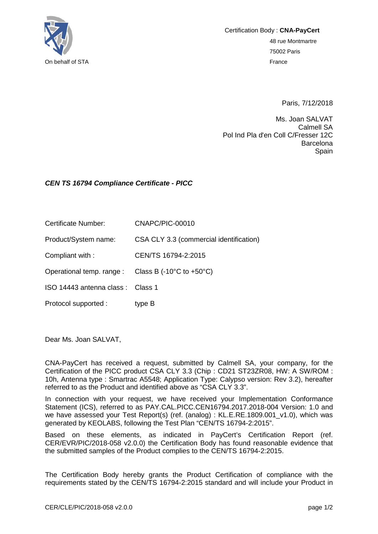

Certification Body : **CNA-PayCert** 48 rue Montmartre 75002 Paris On behalf of STA France

Paris, 7/12/2018

Ms. Joan SALVAT Calmell SA Pol Ind Pla d'en Coll C/Fresser 12C Barcelona **Spain** 

## *CEN TS 16794 Compliance Certificate - PICC*

Certificate Number: CNAPC/PIC-00010

Product/System name: CSA CLY 3.3 (commercial identification)

Compliant with : CEN/TS 16794-2:2015

Operational temp. range : Class B (-10°C to +50°C)

ISO 14443 antenna class : Class 1

Protocol supported : type B

Dear Ms. Joan SALVAT,

CNA-PayCert has received a request, submitted by Calmell SA, your company, for the Certification of the PICC product CSA CLY 3.3 (Chip : CD21 ST23ZR08, HW: A SW/ROM : 10h, Antenna type : Smartrac A5548; Application Type: Calypso version: Rev 3.2), hereafter referred to as the Product and identified above as "CSA CLY 3.3".

In connection with your request, we have received your Implementation Conformance Statement (ICS), referred to as PAY.CAL.PICC.CEN16794.2017.2018-004 Version: 1.0 and we have assessed your Test Report(s) (ref. (analog) : KL.E.RE.1809.001\_v1.0), which was generated by KEOLABS, following the Test Plan "CEN/TS 16794-2:2015".

Based on these elements, as indicated in PayCert's Certification Report (ref. CER/EVR/PIC/2018-058 v2.0.0) the Certification Body has found reasonable evidence that the submitted samples of the Product complies to the CEN/TS 16794-2:2015.

The Certification Body hereby grants the Product Certification of compliance with the requirements stated by the CEN/TS 16794-2:2015 standard and will include your Product in